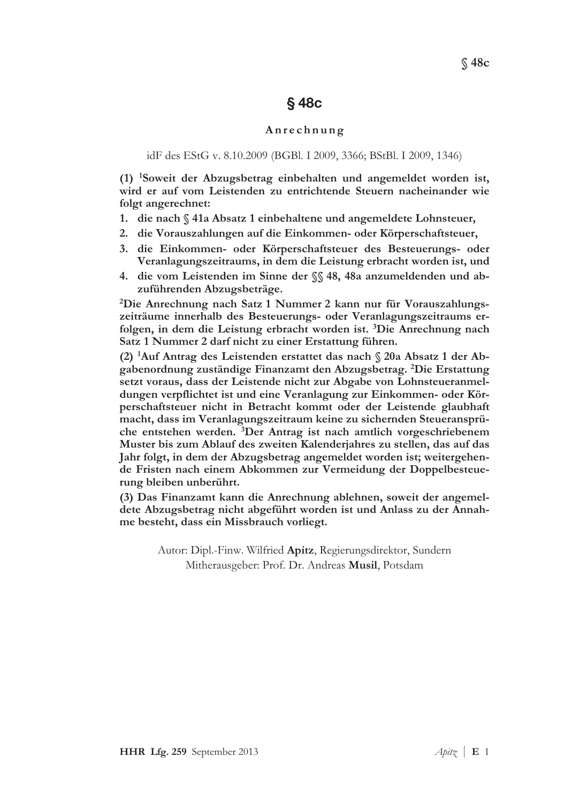# $§$  48 $c$

#### Anrechnung

#### idF des EStG v. 8.10.2009 (BGBl. I 2009, 3366; BStBl. I 2009, 1346)

(1) <sup>1</sup>Soweit der Abzugsbetrag einbehalten und angemeldet worden ist. wird er auf vom Leistenden zu entrichtende Steuern nacheinander wie folgt angerechnet:

- 1. die nach § 41a Absatz 1 einbehaltene und angemeldete Lohnsteuer,
- 2. die Vorauszahlungen auf die Einkommen- oder Körperschaftsteuer,
- 3. die Einkommen- oder Körperschaftsteuer des Besteuerungs- oder Veranlagungszeitraums, in dem die Leistung erbracht worden ist, und
- 4. die vom Leistenden im Sinne der SS 48, 48a anzumeldenden und abzuführenden Abzugsbeträge.

<sup>2</sup>Die Anrechnung nach Satz 1 Nummer 2 kann nur für Vorauszahlungszeiträume innerhalb des Besteuerungs- oder Veranlagungszeitraums erfolgen, in dem die Leistung erbracht worden ist. <sup>3</sup>Die Anrechnung nach Satz 1 Nummer 2 darf nicht zu einer Erstattung führen.

(2) <sup>1</sup>Auf Antrag des Leistenden erstattet das nach § 20a Absatz 1 der Abgabenordnung zuständige Finanzamt den Abzugsbetrag. <sup>2</sup>Die Erstattung setzt voraus, dass der Leistende nicht zur Abgabe von Lohnsteueranmeldungen verpflichtet ist und eine Veranlagung zur Einkommen- oder Körperschaftsteuer nicht in Betracht kommt oder der Leistende glaubhaft macht, dass im Veranlagungszeitraum keine zu sichernden Steueransprüche entstehen werden. <sup>3</sup>Der Antrag ist nach amtlich vorgeschriebenem Muster bis zum Ablauf des zweiten Kalenderjahres zu stellen, das auf das Jahr folgt, in dem der Abzugsbetrag angemeldet worden ist; weitergehende Fristen nach einem Abkommen zur Vermeidung der Doppelbesteuerung bleiben unberührt.

(3) Das Finanzamt kann die Anrechnung ablehnen, soweit der angemeldete Abzugsbetrag nicht abgeführt worden ist und Anlass zu der Annahme besteht, dass ein Missbrauch vorliegt.

Autor: Dipl.-Finw. Wilfried Apitz, Regierungsdirektor, Sundern Mitherausgeber: Prof. Dr. Andreas Musil, Potsdam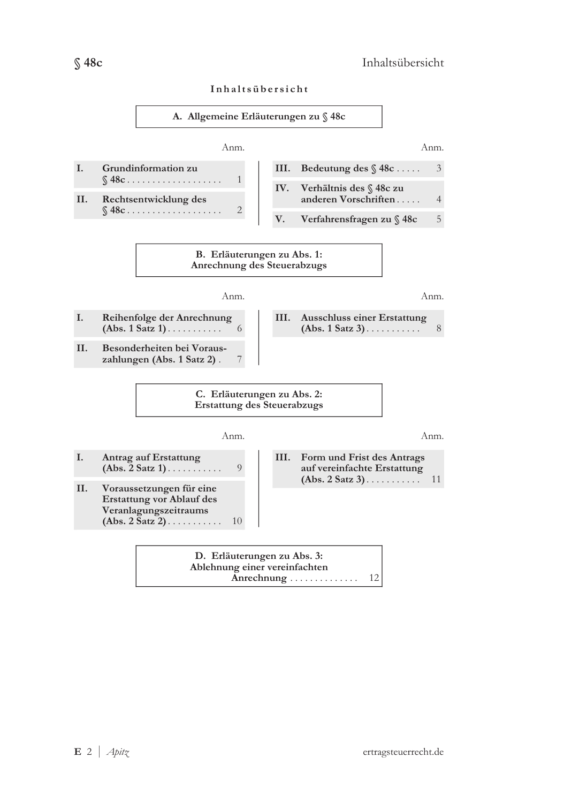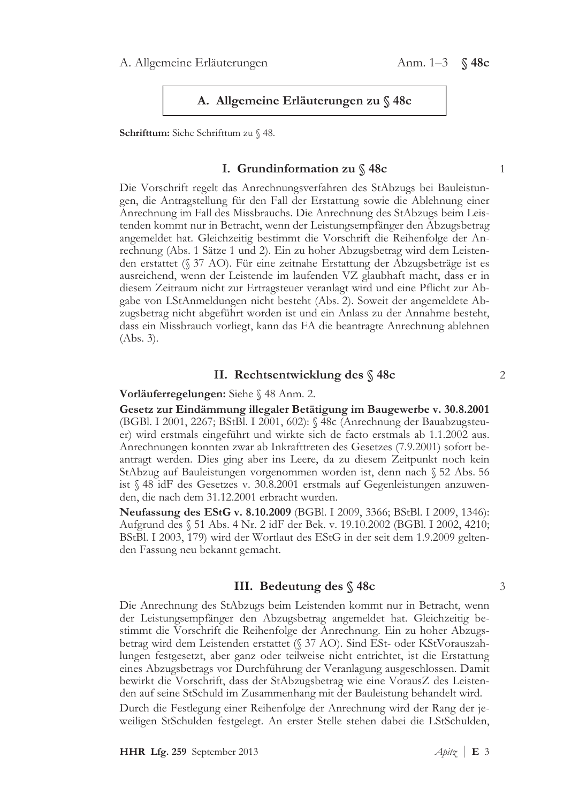#### A. Allgemeine Erläuterungen zu § 48c

Schrifttum: Siehe Schrifttum zu § 48.

#### I. Grundinformation zu  $\%$  48c

Die Vorschrift regelt das Anrechnungsverfahren des StAbzugs bei Bauleistungen, die Antragstellung für den Fall der Erstattung sowie die Ablehnung einer Anrechnung im Fall des Missbrauchs. Die Anrechnung des StAbzugs beim Leistenden kommt nur in Betracht, wenn der Leistungsempfänger den Abzugsbetrag angemeldet hat. Gleichzeitig bestimmt die Vorschrift die Reihenfolge der Anrechnung (Abs. 1 Sätze 1 und 2). Ein zu hoher Abzugsbetrag wird dem Leistenden erstattet (§ 37 AO). Für eine zeitnahe Erstattung der Abzugsbeträge ist es ausreichend, wenn der Leistende im laufenden VZ glaubhaft macht, dass er in diesem Zeitraum nicht zur Ertragsteuer veranlagt wird und eine Pflicht zur Abgabe von LStAnmeldungen nicht besteht (Abs. 2). Soweit der angemeldete Abzugsbetrag nicht abgeführt worden ist und ein Anlass zu der Annahme besteht, dass ein Missbrauch vorliegt, kann das FA die beantragte Anrechnung ablehnen  $(Abs. 3).$ 

#### II. Rechtsentwicklung des §48c

Vorläuferregelungen: Siehe § 48 Anm. 2.

Gesetz zur Eindämmung illegaler Betätigung im Baugewerbe v. 30.8.2001 (BGBl. I 2001, 2267; BStBl. I 2001, 602): § 48c (Anrechnung der Bauabzugsteuer) wird erstmals eingeführt und wirkte sich de facto erstmals ab 1.1.2002 aus. Anrechnungen konnten zwar ab Inkrafttreten des Gesetzes (7.9.2001) sofort beantragt werden. Dies ging aber ins Leere, da zu diesem Zeitpunkt noch kein StAbzug auf Bauleistungen vorgenommen worden ist, denn nach § 52 Abs. 56 ist § 48 idF des Gesetzes v. 30.8.2001 erstmals auf Gegenleistungen anzuwenden, die nach dem 31.12.2001 erbracht wurden.

Neufassung des EStG v. 8.10.2009 (BGBl. I 2009, 3366; BStBl. I 2009, 1346): Aufgrund des § 51 Abs. 4 Nr. 2 idF der Bek. v. 19.10.2002 (BGBl. I 2002, 4210; BStBl. I 2003, 179) wird der Wortlaut des EStG in der seit dem 1.9.2009 geltenden Fassung neu bekannt gemacht.

### III. Bedeutung des § 48c

Die Anrechnung des StAbzugs beim Leistenden kommt nur in Betracht, wenn der Leistungsempfänger den Abzugsbetrag angemeldet hat. Gleichzeitig bestimmt die Vorschrift die Reihenfolge der Anrechnung. Ein zu hoher Abzugsbetrag wird dem Leistenden erstattet (§ 37 AO). Sind ESt- oder KStVorauszahlungen festgesetzt, aber ganz oder teilweise nicht entrichtet, ist die Erstattung eines Abzugsbetrags vor Durchführung der Veranlagung ausgeschlossen. Damit bewirkt die Vorschrift, dass der StAbzugsbetrag wie eine VorausZ des Leistenden auf seine StSchuld im Zusammenhang mit der Bauleistung behandelt wird. Durch die Festlegung einer Reihenfolge der Anrechnung wird der Rang der jeweiligen StSchulden festgelegt. An erster Stelle stehen dabei die LStSchulden,

3

 $\mathbf{1}$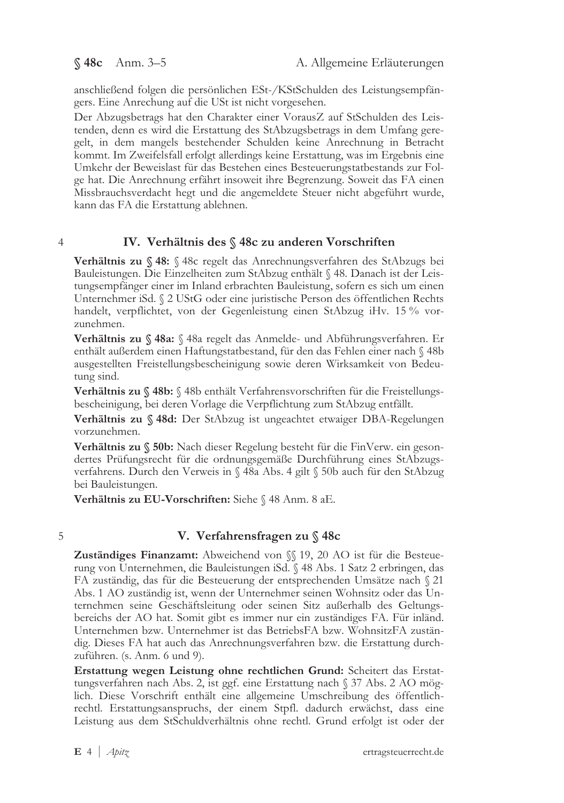§ 48c Anm. 3-5

anschließend folgen die persönlichen ESt-/KStSchulden des Leistungsempfängers. Eine Anrechung auf die USt ist nicht vorgesehen.

Der Abzugsbetrags hat den Charakter einer VorausZ auf StSchulden des Leistenden, denn es wird die Erstattung des StAbzugsbetrags in dem Umfang geregelt, in dem mangels bestehender Schulden keine Anrechnung in Betracht kommt. Im Zweifelsfall erfolgt allerdings keine Erstattung, was im Ergebnis eine Umkehr der Beweislast für das Bestehen eines Besteuerungstatbestands zur Folge hat. Die Anrechnung erfährt insoweit ihre Begrenzung. Soweit das FA einen Missbrauchsverdacht hegt und die angemeldete Steuer nicht abgeführt wurde, kann das FA die Erstattung ablehnen.

#### $\overline{4}$

## IV. Verhältnis des § 48c zu anderen Vorschriften

Verhältnis zu § 48: § 48c regelt das Anrechnungsverfahren des StAbzugs bei Bauleistungen. Die Einzelheiten zum StAbzug enthält § 48. Danach ist der Leistungsempfänger einer im Inland erbrachten Bauleistung, sofern es sich um einen Unternehmer iSd. § 2 UStG oder eine juristische Person des öffentlichen Rechts handelt, verpflichtet, von der Gegenleistung einen StAbzug iHv. 15 % vorzunehmen.

Verhältnis zu § 48a: § 48a regelt das Anmelde- und Abführungsverfahren. Er enthält außerdem einen Haftungstatbestand, für den das Fehlen einer nach § 48b ausgestellten Freistellungsbescheinigung sowie deren Wirksamkeit von Bedeutung sind.

Verhältnis zu § 48b: § 48b enthält Verfahrensvorschriften für die Freistellungsbescheinigung, bei deren Vorlage die Verpflichtung zum StAbzug entfällt.

Verhältnis zu § 48d: Der StAbzug ist ungeachtet etwaiger DBA-Regelungen vorzunehmen.

Verhältnis zu § 50b: Nach dieser Regelung besteht für die FinVerw. ein gesondertes Prüfungsrecht für die ordnungsgemäße Durchführung eines StAbzugsverfahrens. Durch den Verweis in § 48a Abs. 4 gilt § 50b auch für den StAbzug bei Bauleistungen.

Verhältnis zu EU-Vorschriften: Siehe § 48 Anm. 8 aE.

5

## V. Verfahrensfragen zu § 48c

Zuständiges Finanzamt: Abweichend von §§ 19, 20 AO ist für die Besteuerung von Unternehmen, die Bauleistungen iSd. § 48 Abs. 1 Satz 2 erbringen, das FA zuständig, das für die Besteuerung der entsprechenden Umsätze nach § 21 Abs. 1 AO zuständig ist, wenn der Unternehmer seinen Wohnsitz oder das Unternehmen seine Geschäftsleitung oder seinen Sitz außerhalb des Geltungsbereichs der AO hat. Somit gibt es immer nur ein zuständiges FA. Für inländ. Unternehmen bzw. Unternehmer ist das BetriebsFA bzw. WohnsitzFA zuständig. Dieses FA hat auch das Anrechnungsverfahren bzw. die Erstattung durchzuführen. (s. Anm. 6 und 9).

Erstattung wegen Leistung ohne rechtlichen Grund: Scheitert das Erstattungsverfahren nach Abs. 2, ist ggf. eine Erstattung nach § 37 Abs. 2 AO möglich. Diese Vorschrift enthält eine allgemeine Umschreibung des öffentlichrechtl. Erstattungsanspruchs, der einem Stpfl. dadurch erwächst, dass eine Leistung aus dem StSchuldverhältnis ohne rechtl. Grund erfolgt ist oder der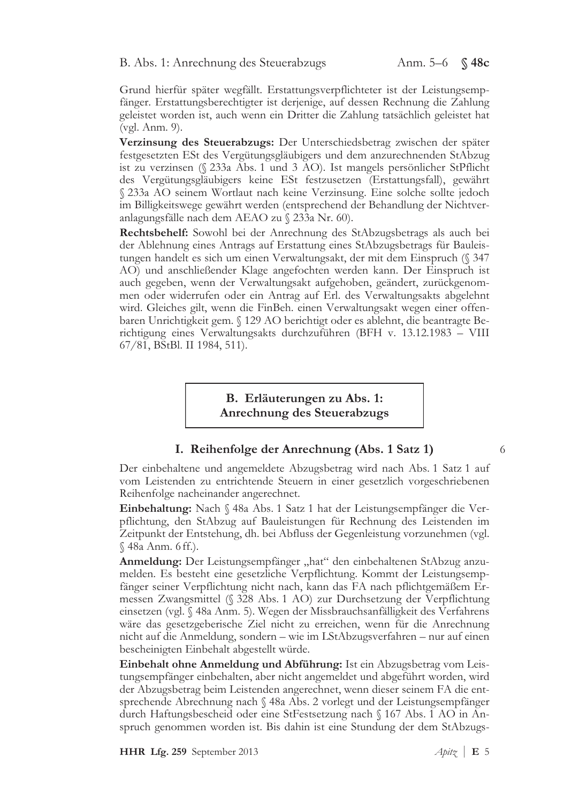Grund hierfür später wegfällt. Erstattungsverpflichteter ist der Leistungsempfänger. Erstattungsberechtigter ist derjenige, auf dessen Rechnung die Zahlung geleistet worden ist, auch wenn ein Dritter die Zahlung tatsächlich geleistet hat (vgl. Anm. 9).

Verzinsung des Steuerabzugs: Der Unterschiedsbetrag zwischen der später festgesetzten ESt des Vergütungsgläubigers und dem anzurechnenden StAbzug ist zu verzinsen (§ 233a Abs. 1 und 3 AO). Ist mangels persönlicher StPflicht des Vergütungsgläubigers keine ESt festzusetzen (Erstattungsfall), gewährt § 233a AO seinem Wortlaut nach keine Verzinsung. Eine solche sollte jedoch im Billigkeitswege gewährt werden (entsprechend der Behandlung der Nichtveranlagungsfälle nach dem AEAO zu § 233a Nr. 60).

Rechtsbehelf: Sowohl bei der Anrechnung des StAbzugsbetrags als auch bei der Ablehnung eines Antrags auf Erstattung eines StAbzugsbetrags für Bauleistungen handelt es sich um einen Verwaltungsakt, der mit dem Einspruch (§ 347 AO) und anschließender Klage angefochten werden kann. Der Einspruch ist auch gegeben, wenn der Verwaltungsakt aufgehoben, geändert, zurückgenommen oder widerrufen oder ein Antrag auf Erl. des Verwaltungsakts abgelehnt wird. Gleiches gilt, wenn die FinBeh. einen Verwaltungsakt wegen einer offenbaren Unrichtigkeit gem. § 129 AO berichtigt oder es ablehnt, die beantragte Berichtigung eines Verwaltungsakts durchzuführen (BFH v. 13.12.1983 – VIII  $67/81$ , BStBl. II 1984, 511).

> B. Erläuterungen zu Abs. 1: Anrechnung des Steuerabzugs

## I. Reihenfolge der Anrechnung (Abs. 1 Satz 1)

Der einbehaltene und angemeldete Abzugsbetrag wird nach Abs. 1 Satz 1 auf vom Leistenden zu entrichtende Steuern in einer gesetzlich vorgeschriebenen Reihenfolge nacheinander angerechnet.

Einbehaltung: Nach § 48a Abs. 1 Satz 1 hat der Leistungsempfänger die Verpflichtung, den StAbzug auf Bauleistungen für Rechnung des Leistenden im Zeitpunkt der Entstehung, dh. bei Abfluss der Gegenleistung vorzunehmen (vgl. § 48a Anm. 6 ff.).

Anmeldung: Der Leistungsempfänger "hat" den einbehaltenen StAbzug anzumelden. Es besteht eine gesetzliche Verpflichtung. Kommt der Leistungsempfänger seiner Verpflichtung nicht nach, kann das FA nach pflichtgemäßem Ermessen Zwangsmittel (§ 328 Abs. 1 AO) zur Durchsetzung der Verpflichtung einsetzen (vgl. § 48a Anm. 5). Wegen der Missbrauchsanfälligkeit des Verfahrens wäre das gesetzgeberische Ziel nicht zu erreichen, wenn für die Anrechnung nicht auf die Anmeldung, sondern – wie im LStAbzugsverfahren – nur auf einen bescheinigten Einbehalt abgestellt würde.

Einbehalt ohne Anmeldung und Abführung: Ist ein Abzugsbetrag vom Leistungsempfänger einbehalten, aber nicht angemeldet und abgeführt worden, wird der Abzugsbetrag beim Leistenden angerechnet, wenn dieser seinem FA die entsprechende Abrechnung nach § 48a Abs. 2 vorlegt und der Leistungsempfänger durch Haftungsbescheid oder eine StFestsetzung nach § 167 Abs. 1 AO in Anspruch genommen worden ist. Bis dahin ist eine Stundung der dem StAbzugs-

HHR Lfg. 259 September 2013

6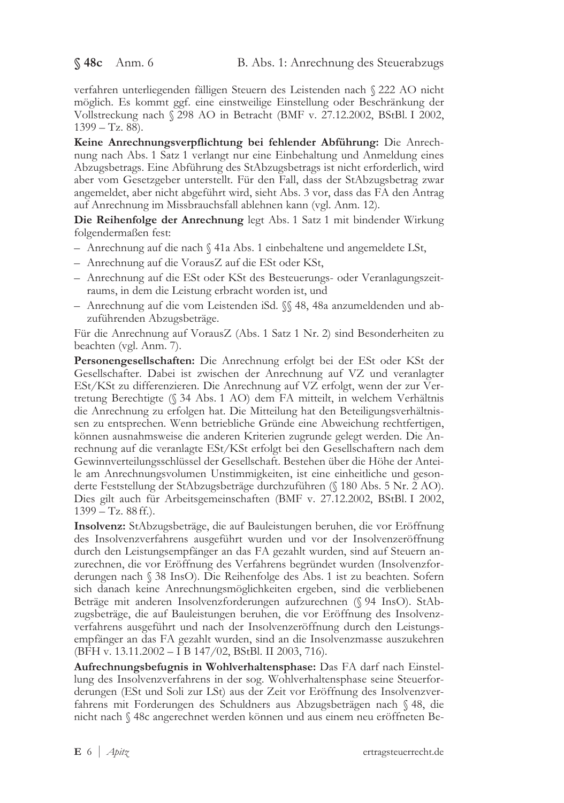verfahren unterliegenden fälligen Steuern des Leistenden nach § 222 AO nicht möglich. Es kommt ggf. eine einstweilige Einstellung oder Beschränkung der Vollstreckung nach § 298 AO in Betracht (BMF v. 27.12.2002, BStBl. I 2002,  $1399 - Tz$ . 88).

Keine Anrechnungsverpflichtung bei fehlender Abführung: Die Anrechnung nach Abs. 1 Satz 1 verlangt nur eine Einbehaltung und Anmeldung eines Abzugsbetrags. Eine Abführung des StAbzugsbetrags ist nicht erforderlich, wird aber vom Gesetzgeber unterstellt. Für den Fall, dass der StAbzugsbetrag zwar angemeldet, aber nicht abgeführt wird, sieht Abs. 3 vor, dass das FA den Antrag auf Anrechnung im Missbrauchsfall ablehnen kann (vgl. Anm. 12).

Die Reihenfolge der Anrechnung legt Abs. 1 Satz 1 mit bindender Wirkung folgendermaßen fest:

- Anrechnung auf die nach § 41a Abs. 1 einbehaltene und angemeldete LSt,
- Anrechnung auf die VorausZ auf die ESt oder KSt,
- Anrechnung auf die ESt oder KSt des Besteuerungs- oder Veranlagungszeitraums, in dem die Leistung erbracht worden ist, und
- Anrechnung auf die vom Leistenden iSd.  $\%$  48, 48a anzumeldenden und abzuführenden Abzugsbeträge.

Für die Anrechnung auf VorausZ (Abs. 1 Satz 1 Nr. 2) sind Besonderheiten zu beachten (vgl. Anm. 7).

Personengesellschaften: Die Anrechnung erfolgt bei der ESt oder KSt der Gesellschafter. Dabei ist zwischen der Anrechnung auf VZ und veranlagter ESt/KSt zu differenzieren. Die Anrechnung auf VZ erfolgt, wenn der zur Vertretung Berechtigte (§ 34 Abs. 1 AO) dem FA mitteilt, in welchem Verhältnis die Anrechnung zu erfolgen hat. Die Mitteilung hat den Beteiligungsverhältnissen zu entsprechen. Wenn betriebliche Gründe eine Abweichung rechtfertigen, können ausnahmsweise die anderen Kriterien zugrunde gelegt werden. Die Anrechnung auf die veranlagte ESt/KSt erfolgt bei den Gesellschaftern nach dem Gewinnverteilungsschlüssel der Gesellschaft. Bestehen über die Höhe der Anteile am Anrechnungsvolumen Unstimmigkeiten, ist eine einheitliche und gesonderte Feststellung der StAbzugsbeträge durchzuführen (§ 180 Abs. 5 Nr. 2 AO). Dies gilt auch für Arbeitsgemeinschaften (BMF v. 27.12.2002, BStBl. I 2002,  $1399 - Tz$ . 88 ff.).

Insolvenz: StAbzugsbeträge, die auf Bauleistungen beruhen, die vor Eröffnung des Insolvenzverfahrens ausgeführt wurden und vor der Insolvenzeröffnung durch den Leistungsempfänger an das FA gezahlt wurden, sind auf Steuern anzurechnen, die vor Eröffnung des Verfahrens begründet wurden (Insolvenzforderungen nach § 38 InsO). Die Reihenfolge des Abs. 1 ist zu beachten. Sofern sich danach keine Anrechnungsmöglichkeiten ergeben, sind die verbliebenen Beträge mit anderen Insolvenzforderungen aufzurechnen (§ 94 InsO). StAbzugsbeträge, die auf Bauleistungen beruhen, die vor Eröffnung des Insolvenzverfahrens ausgeführt und nach der Insolvenzeröffnung durch den Leistungsempfänger an das FA gezahlt wurden, sind an die Insolvenzmasse auszukehren (BFH v. 13.11.2002 - I B 147/02, BStBl. II 2003, 716).

Aufrechnungsbefugnis in Wohlverhaltensphase: Das FA darf nach Einstellung des Insolvenzverfahrens in der sog. Wohlverhaltensphase seine Steuerforderungen (ESt und Soli zur LSt) aus der Zeit vor Eröffnung des Insolvenzverfahrens mit Forderungen des Schuldners aus Abzugsbeträgen nach § 48, die nicht nach § 48c angerechnet werden können und aus einem neu eröffneten Be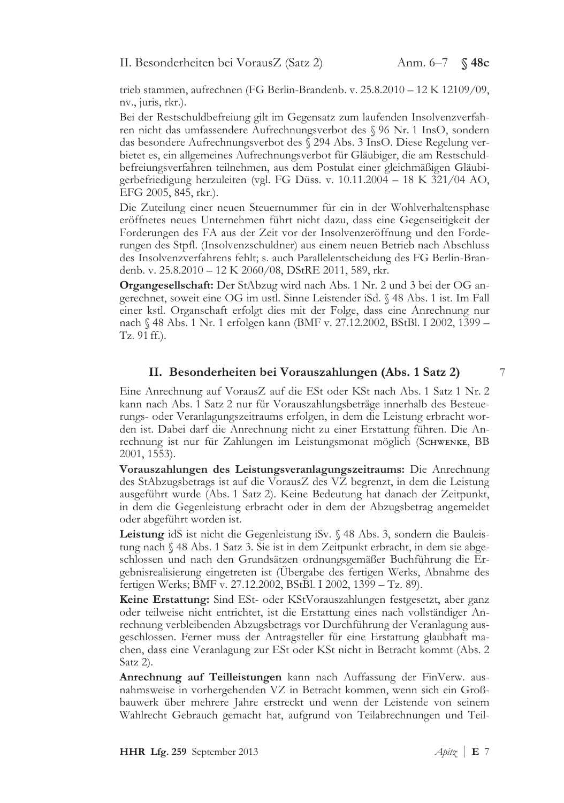trieb stammen, aufrechnen (FG Berlin-Brandenb. v.  $25.8.2010 - 12$  K  $12109/09$ , nv., juris, rkr.).

Bei der Restschuldbefreiung gilt im Gegensatz zum laufenden Insolvenzverfahren nicht das umfassendere Aufrechnungsverbot des § 96 Nr. 1 InsO, sondern das besondere Aufrechnungsverbot des § 294 Abs. 3 InsO. Diese Regelung verbietet es, ein allgemeines Aufrechnungsverbot für Gläubiger, die am Restschuldbefreiungsverfahren teilnehmen, aus dem Postulat einer gleichmäßigen Gläubigerbefriedigung herzuleiten (vgl. FG Düss. v. 10.11.2004 – 18 K  $\overline{321}/04$  AO, EFG 2005, 845, rkr.).

Die Zuteilung einer neuen Steuernummer für ein in der Wohlverhaltensphase eröffnetes neues Unternehmen führt nicht dazu, dass eine Gegenseitigkeit der Forderungen des FA aus der Zeit vor der Insolvenzeröffnung und den Forderungen des Stpfl. (Insolvenzschuldner) aus einem neuen Betrieb nach Abschluss des Insolvenzverfahrens fehlt; s. auch Parallelentscheidung des FG Berlin-Brandenb. v. 25.8.2010 - 12 K 2060/08, DStRE 2011, 589, rkr.

Organgesellschaft: Der StAbzug wird nach Abs. 1 Nr. 2 und 3 bei der OG angerechnet, soweit eine OG im ustl. Sinne Leistender iSd. § 48 Abs. 1 ist. Im Fall einer kstl. Organschaft erfolgt dies mit der Folge, dass eine Anrechnung nur nach § 48 Abs. 1 Nr. 1 erfolgen kann (BMF v. 27.12.2002, BStBl. I 2002, 1399 – Tz.  $91$  ff.).

## II. Besonderheiten bei Vorauszahlungen (Abs. 1 Satz 2)

Eine Anrechnung auf VorausZ auf die ESt oder KSt nach Abs. 1 Satz 1 Nr. 2 kann nach Abs. 1 Satz 2 nur für Vorauszahlungsbeträge innerhalb des Besteuerungs- oder Veranlagungszeitraums erfolgen, in dem die Leistung erbracht worden ist. Dabei darf die Anrechnung nicht zu einer Erstattung führen. Die Anrechnung ist nur für Zahlungen im Leistungsmonat möglich (SCHWENKE, BB 2001, 1553).

Vorauszahlungen des Leistungsveranlagungszeitraums: Die Anrechnung des StAbzugsbetrags ist auf die VorausZ des VZ begrenzt, in dem die Leistung ausgeführt wurde (Abs. 1 Satz 2). Keine Bedeutung hat danach der Zeitpunkt, in dem die Gegenleistung erbracht oder in dem der Abzugsbetrag angemeldet oder abgeführt worden ist.

Leistung idS ist nicht die Gegenleistung iSv. § 48 Abs. 3, sondern die Bauleistung nach  $\S$  48 Abs. 1 Satz 3. Sie ist in dem Zeitpunkt erbracht, in dem sie abgeschlossen und nach den Grundsätzen ordnungsgemäßer Buchführung die Ergebnisrealisierung eingetreten ist (Übergabe des fertigen Werks, Abnahme des fertigen Werks; BMF v. 27.12.2002, BStBl. I 2002, 1399 - Tz. 89).

Keine Erstattung: Sind ESt- oder KStVorauszahlungen festgesetzt, aber ganz oder teilweise nicht entrichtet, ist die Erstattung eines nach vollständiger Anrechnung verbleibenden Abzugsbetrags vor Durchführung der Veranlagung ausgeschlossen. Ferner muss der Antragsteller für eine Erstattung glaubhaft machen, dass eine Veranlagung zur ESt oder KSt nicht in Betracht kommt (Abs. 2  $\text{Satz 2}.$ 

Anrechnung auf Teilleistungen kann nach Auffassung der FinVerw. ausnahmsweise in vorhergehenden VZ in Betracht kommen, wenn sich ein Großbauwerk über mehrere Jahre erstreckt und wenn der Leistende von seinem Wahlrecht Gebrauch gemacht hat, aufgrund von Teilabrechnungen und Teil-

W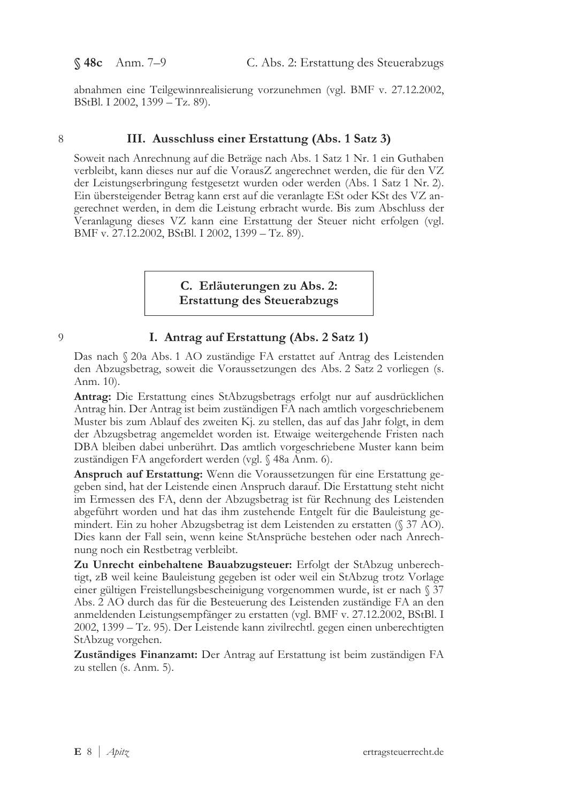abnahmen eine Teilgewinnrealisierung vorzunehmen (vgl. BMF v. 27.12.2002, BStBl. I 2002, 1399 – Tz. 89).

#### /

## III. Ausschluss einer Erstattung (Abs. 1 Satz 3)

Soweit nach Anrechnung auf die Beträge nach Abs. 1 Satz 1 Nr. 1 ein Guthaben verbleibt, kann dieses nur auf die VorausZ angerechnet werden, die für den VZ der Leistungserbringung festgesetzt wurden oder werden (Abs. 1 Satz 1 Nr. 2). Ein übersteigender Betrag kann erst auf die veranlagte ESt oder KSt des VZ angerechnet werden, in dem die Leistung erbracht wurde. Bis zum Abschluss der Veranlagung dieses VZ kann eine Erstattung der Steuer nicht erfolgen (vgl. BMF v. 27.12.2002, BStBl. I 2002, 1399 – Tz. 89).

> C. Erläuterungen zu Abs. 2: Erstattung des Steuerabzugs

 $\overline{Q}$ 

## I. Antrag auf Erstattung (Abs. 2 Satz 1)

Das nach § 20a Abs. 1 AO zuständige FA erstattet auf Antrag des Leistenden den Abzugsbetrag, soweit die Voraussetzungen des Abs. 2 Satz 2 vorliegen (s. Anm. 10).

Antrag: Die Erstattung eines StAbzugsbetrags erfolgt nur auf ausdrücklichen Antrag hin. Der Antrag ist beim zuständigen FA nach amtlich vorgeschriebenem Muster bis zum Ablauf des zweiten Kj. zu stellen, das auf das Jahr folgt, in dem der Abzugsbetrag angemeldet worden ist. Etwaige weitergehende Fristen nach DBA bleiben dabei unberührt. Das amtlich vorgeschriebene Muster kann beim zuständigen FA angefordert werden (vgl. § 48a Anm. 6).

Anspruch auf Erstattung: Wenn die Voraussetzungen für eine Erstattung gegeben sind, hat der Leistende einen Anspruch darauf. Die Erstattung steht nicht im Ermessen des FA, denn der Abzugsbetrag ist für Rechnung des Leistenden abgeführt worden und hat das ihm zustehende Entgelt für die Bauleistung gemindert. Ein zu hoher Abzugsbetrag ist dem Leistenden zu erstatten ( $\sqrt{37}$  AO). Dies kann der Fall sein, wenn keine StAnsprüche bestehen oder nach Anrechnung noch ein Restbetrag verbleibt.

Zu Unrecht einbehaltene Bauabzugsteuer: Erfolgt der StAbzug unberechtigt, zB weil keine Bauleistung gegeben ist oder weil ein StAbzug trotz Vorlage einer gültigen Freistellungsbescheinigung vorgenommen wurde, ist er nach § 37 Abs. 2 AO durch das für die Besteuerung des Leistenden zuständige FA an den anmeldenden Leistungsempfänger zu erstatten (vgl. BMF v. 27.12.2002, BStBl. I 2002, 1399 – Tz. 95). Der Leistende kann zivilrechtl. gegen einen unberechtigten StAbzug vorgehen.

Zuständiges Finanzamt: Der Antrag auf Erstattung ist beim zuständigen FA zu stellen (s. Anm. 5).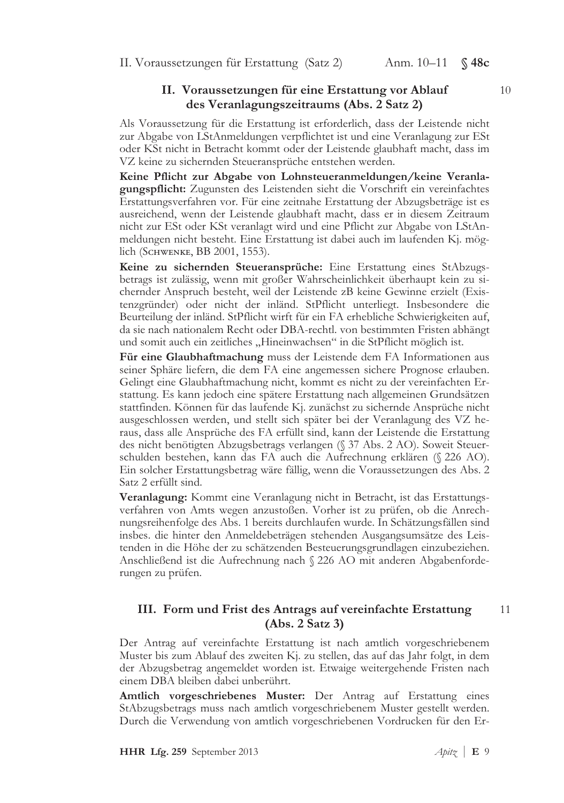II. Voraussetzungen für Erstattung (Satz 2) Anm. 10–11 S 48c

## II. Voraussetzungen für eine Erstattung vor Ablauf des Veranlagungszeitraums (Abs. 2 Satz 2)

Als Voraussetzung für die Erstattung ist erforderlich, dass der Leistende nicht zur Abgabe von LStAnmeldungen verpflichtet ist und eine Veranlagung zur ESt oder KSt nicht in Betracht kommt oder der Leistende glaubhaft macht, dass im VZ keine zu sichernden Steueransprüche entstehen werden.

Keine Pflicht zur Abgabe von Lohnsteueranmeldungen/keine Veranlagungspflicht: Zugunsten des Leistenden sieht die Vorschrift ein vereinfachtes Erstattungsverfahren vor. Für eine zeitnahe Erstattung der Abzugsbeträge ist es ausreichend, wenn der Leistende glaubhaft macht, dass er in diesem Zeitraum nicht zur ESt oder KSt veranlagt wird und eine Pflicht zur Abgabe von LStAnmeldungen nicht besteht. Eine Erstattung ist dabei auch im laufenden Kj. möglich (SCHWENKE, BB 2001, 1553).

Keine zu sichernden Steueransprüche: Eine Erstattung eines StAbzugsbetrags ist zulässig, wenn mit großer Wahrscheinlichkeit überhaupt kein zu sichernder Anspruch besteht, weil der Leistende zB keine Gewinne erzielt (Existenzgründer) oder nicht der inländ. StPflicht unterliegt. Insbesondere die Beurteilung der inländ. StPflicht wirft für ein FA erhebliche Schwierigkeiten auf, da sie nach nationalem Recht oder DBA-rechtl. von bestimmten Fristen abhängt und somit auch ein zeitliches "Hineinwachsen" in die StPflicht möglich ist.

Für eine Glaubhaftmachung muss der Leistende dem FA Informationen aus seiner Sphäre liefern, die dem FA eine angemessen sichere Prognose erlauben. Gelingt eine Glaubhaftmachung nicht, kommt es nicht zu der vereinfachten Erstattung. Es kann jedoch eine spätere Erstattung nach allgemeinen Grundsätzen stattfinden. Können für das laufende Kj. zunächst zu sichernde Ansprüche nicht ausgeschlossen werden, und stellt sich später bei der Veranlagung des VZ heraus, dass alle Ansprüche des FA erfüllt sind, kann der Leistende die Erstattung des nicht benötigten Abzugsbetrags verlangen (§ 37 Abs. 2 AO). Soweit Steuerschulden bestehen, kann das FA auch die Aufrechnung erklären  $(\frac{226}{\rm AO})$ . Ein solcher Erstattungsbetrag wäre fällig, wenn die Voraussetzungen des Abs. 2 Satz 2 erfüllt sind.

Veranlagung: Kommt eine Veranlagung nicht in Betracht, ist das Erstattungsverfahren von Amts wegen anzustoßen. Vorher ist zu prüfen, ob die Anrechnungsreihenfolge des Abs. 1 bereits durchlaufen wurde. In Schätzungsfällen sind insbes. die hinter den Anmeldebeträgen stehenden Ausgangsumsätze des Leistenden in die Höhe der zu schätzenden Besteuerungsgrundlagen einzubeziehen. Anschließend ist die Aufrechnung nach § 226 AO mit anderen Abgabenforderungen zu prüfen.

#### III. Form und Frist des Antrags auf vereinfachte Erstattung  $(Abs. 2 Satz 3)$ 11

Der Antrag auf vereinfachte Erstattung ist nach amtlich vorgeschriebenem Muster bis zum Ablauf des zweiten Kj. zu stellen, das auf das Jahr folgt, in dem der Abzugsbetrag angemeldet worden ist. Etwaige weitergehende Fristen nach einem DBA bleiben dabei unberührt.

Amtlich vorgeschriebenes Muster: Der Antrag auf Erstattung eines StAbzugsbetrags muss nach amtlich vorgeschriebenem Muster gestellt werden. Durch die Verwendung von amtlich vorgeschriebenen Vordrucken für den Er-